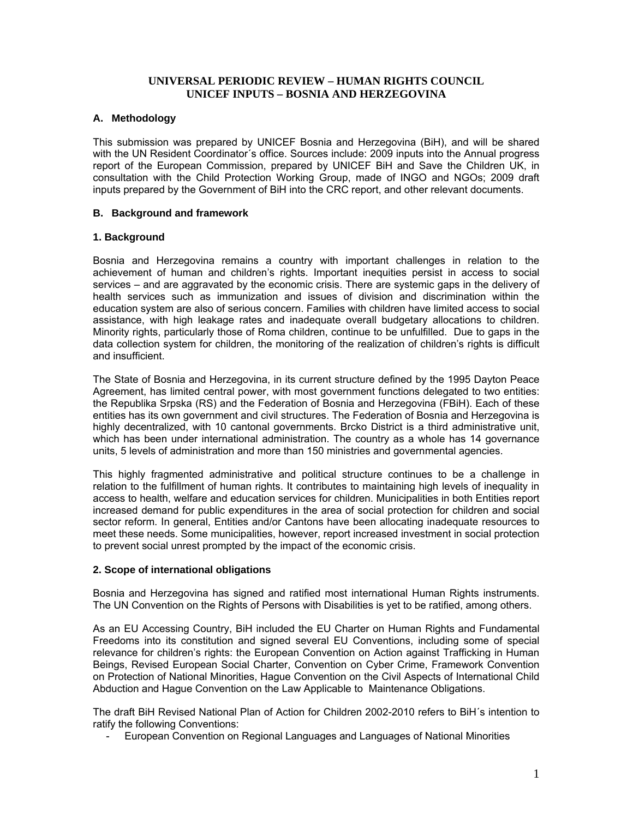## **UNIVERSAL PERIODIC REVIEW – HUMAN RIGHTS COUNCIL UNICEF INPUTS – BOSNIA AND HERZEGOVINA**

## **A. Methodology**

This submission was prepared by UNICEF Bosnia and Herzegovina (BiH), and will be shared with the UN Resident Coordinator´s office. Sources include: 2009 inputs into the Annual progress report of the European Commission, prepared by UNICEF BiH and Save the Children UK, in consultation with the Child Protection Working Group, made of INGO and NGOs; 2009 draft inputs prepared by the Government of BiH into the CRC report, and other relevant documents.

## **B. Background and framework**

## **1. Background**

Bosnia and Herzegovina remains a country with important challenges in relation to the achievement of human and children's rights. Important inequities persist in access to social services – and are aggravated by the economic crisis. There are systemic gaps in the delivery of health services such as immunization and issues of division and discrimination within the education system are also of serious concern. Families with children have limited access to social assistance, with high leakage rates and inadequate overall budgetary allocations to children. Minority rights, particularly those of Roma children, continue to be unfulfilled. Due to gaps in the data collection system for children, the monitoring of the realization of children's rights is difficult and insufficient.

The State of Bosnia and Herzegovina, in its current structure defined by the 1995 Dayton Peace Agreement, has limited central power, with most government functions delegated to two entities: the Republika Srpska (RS) and the Federation of Bosnia and Herzegovina (FBiH). Each of these entities has its own government and civil structures. The Federation of Bosnia and Herzegovina is highly decentralized, with 10 cantonal governments. Brcko District is a third administrative unit, which has been under international administration. The country as a whole has 14 governance units, 5 levels of administration and more than 150 ministries and governmental agencies.

This highly fragmented administrative and political structure continues to be a challenge in relation to the fulfillment of human rights. It contributes to maintaining high levels of inequality in access to health, welfare and education services for children. Municipalities in both Entities report increased demand for public expenditures in the area of social protection for children and social sector reform. In general, Entities and/or Cantons have been allocating inadequate resources to meet these needs. Some municipalities, however, report increased investment in social protection to prevent social unrest prompted by the impact of the economic crisis.

#### **2. Scope of international obligations**

Bosnia and Herzegovina has signed and ratified most international Human Rights instruments. The UN Convention on the Rights of Persons with Disabilities is yet to be ratified, among others.

As an EU Accessing Country, BiH included the EU Charter on Human Rights and Fundamental Freedoms into its constitution and signed several EU Conventions, including some of special relevance for children's rights: the European Convention on Action against Trafficking in Human Beings, Revised European Social Charter, Convention on Cyber Crime, Framework Convention on Protection of National Minorities, Hague Convention on the Civil Aspects of International Child Abduction and Hague Convention on the Law Applicable to Maintenance Obligations.

The draft BiH Revised National Plan of Action for Children 2002-2010 refers to BiH´s intention to ratify the following Conventions:

- European Convention on Regional Languages and Languages of National Minorities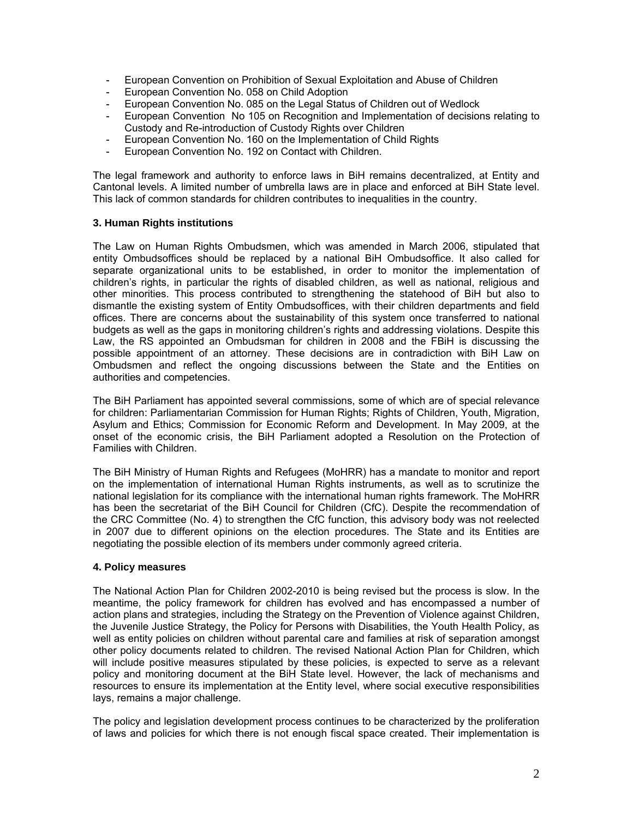- European Convention on Prohibition of Sexual Exploitation and Abuse of Children
- European Convention No. 058 on Child Adoption
- European Convention No. 085 on the Legal Status of Children out of Wedlock
- European Convention No 105 on Recognition and Implementation of decisions relating to Custody and Re-introduction of Custody Rights over Children
- European Convention No. 160 on the Implementation of Child Rights
- European Convention No. 192 on Contact with Children.

The legal framework and authority to enforce laws in BiH remains decentralized, at Entity and Cantonal levels. A limited number of umbrella laws are in place and enforced at BiH State level. This lack of common standards for children contributes to inequalities in the country.

## **3. Human Rights institutions**

The Law on Human Rights Ombudsmen, which was amended in March 2006, stipulated that entity Ombudsoffices should be replaced by a national BiH Ombudsoffice. It also called for separate organizational units to be established, in order to monitor the implementation of children's rights, in particular the rights of disabled children, as well as national, religious and other minorities. This process contributed to strengthening the statehood of BiH but also to dismantle the existing system of Entity Ombudsoffices, with their children departments and field offices. There are concerns about the sustainability of this system once transferred to national budgets as well as the gaps in monitoring children's rights and addressing violations. Despite this Law, the RS appointed an Ombudsman for children in 2008 and the FBiH is discussing the possible appointment of an attorney. These decisions are in contradiction with BiH Law on Ombudsmen and reflect the ongoing discussions between the State and the Entities on authorities and competencies.

The BiH Parliament has appointed several commissions, some of which are of special relevance for children: Parliamentarian Commission for Human Rights; Rights of Children, Youth, Migration, Asylum and Ethics; Commission for Economic Reform and Development. In May 2009, at the onset of the economic crisis, the BiH Parliament adopted a Resolution on the Protection of Families with Children.

The BiH Ministry of Human Rights and Refugees (MoHRR) has a mandate to monitor and report on the implementation of international Human Rights instruments, as well as to scrutinize the national legislation for its compliance with the international human rights framework. The MoHRR has been the secretariat of the BiH Council for Children (CfC). Despite the recommendation of the CRC Committee (No. 4) to strengthen the CfC function, this advisory body was not reelected in 2007 due to different opinions on the election procedures. The State and its Entities are negotiating the possible election of its members under commonly agreed criteria.

#### **4. Policy measures**

The National Action Plan for Children 2002-2010 is being revised but the process is slow. In the meantime, the policy framework for children has evolved and has encompassed a number of action plans and strategies, including the Strategy on the Prevention of Violence against Children, the Juvenile Justice Strategy, the Policy for Persons with Disabilities, the Youth Health Policy, as well as entity policies on children without parental care and families at risk of separation amongst other policy documents related to children. The revised National Action Plan for Children, which will include positive measures stipulated by these policies, is expected to serve as a relevant policy and monitoring document at the BiH State level. However, the lack of mechanisms and resources to ensure its implementation at the Entity level, where social executive responsibilities lays, remains a major challenge.

The policy and legislation development process continues to be characterized by the proliferation of laws and policies for which there is not enough fiscal space created. Their implementation is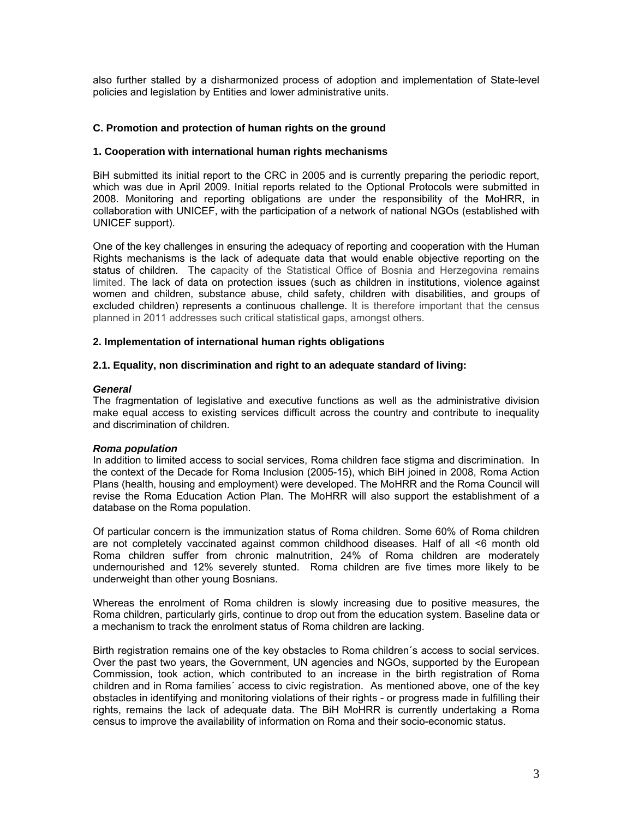also further stalled by a disharmonized process of adoption and implementation of State-level policies and legislation by Entities and lower administrative units.

## **C. Promotion and protection of human rights on the ground**

#### **1. Cooperation with international human rights mechanisms**

BiH submitted its initial report to the CRC in 2005 and is currently preparing the periodic report, which was due in April 2009. Initial reports related to the Optional Protocols were submitted in 2008. Monitoring and reporting obligations are under the responsibility of the MoHRR, in collaboration with UNICEF, with the participation of a network of national NGOs (established with UNICEF support).

One of the key challenges in ensuring the adequacy of reporting and cooperation with the Human Rights mechanisms is the lack of adequate data that would enable objective reporting on the status of children. The capacity of the Statistical Office of Bosnia and Herzegovina remains limited. The lack of data on protection issues (such as children in institutions, violence against women and children, substance abuse, child safety, children with disabilities, and groups of excluded children) represents a continuous challenge. It is therefore important that the census planned in 2011 addresses such critical statistical gaps, amongst others.

#### **2. Implementation of international human rights obligations**

#### **2.1. Equality, non discrimination and right to an adequate standard of living:**

#### *General*

The fragmentation of legislative and executive functions as well as the administrative division make equal access to existing services difficult across the country and contribute to inequality and discrimination of children.

#### *Roma population*

In addition to limited access to social services, Roma children face stigma and discrimination. In the context of the Decade for Roma Inclusion (2005-15), which BiH joined in 2008, Roma Action Plans (health, housing and employment) were developed. The MoHRR and the Roma Council will revise the Roma Education Action Plan. The MoHRR will also support the establishment of a database on the Roma population.

Of particular concern is the immunization status of Roma children. Some 60% of Roma children are not completely vaccinated against common childhood diseases. Half of all <6 month old Roma children suffer from chronic malnutrition, 24% of Roma children are moderately undernourished and 12% severely stunted. Roma children are five times more likely to be underweight than other young Bosnians.

Whereas the enrolment of Roma children is slowly increasing due to positive measures, the Roma children, particularly girls, continue to drop out from the education system. Baseline data or a mechanism to track the enrolment status of Roma children are lacking.

Birth registration remains one of the key obstacles to Roma children´s access to social services. Over the past two years, the Government, UN agencies and NGOs, supported by the European Commission, took action, which contributed to an increase in the birth registration of Roma children and in Roma families´ access to civic registration. As mentioned above, one of the key obstacles in identifying and monitoring violations of their rights - or progress made in fulfilling their rights, remains the lack of adequate data. The BiH MoHRR is currently undertaking a Roma census to improve the availability of information on Roma and their socio-economic status.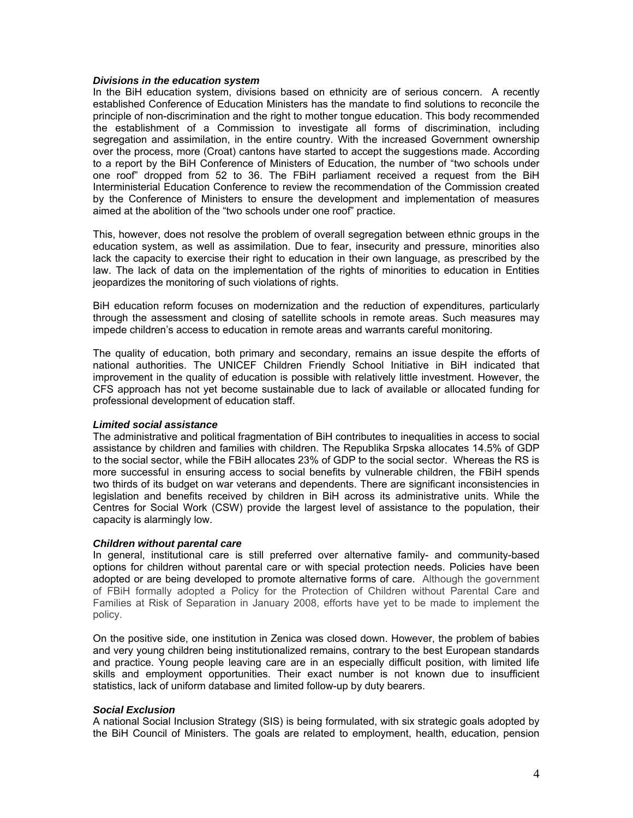#### *Divisions in the education system*

In the BiH education system, divisions based on ethnicity are of serious concern. A recently established Conference of Education Ministers has the mandate to find solutions to reconcile the principle of non-discrimination and the right to mother tongue education. This body recommended the establishment of a Commission to investigate all forms of discrimination, including segregation and assimilation, in the entire country. With the increased Government ownership over the process, more (Croat) cantons have started to accept the suggestions made. According to a report by the BiH Conference of Ministers of Education, the number of "two schools under one roof" dropped from 52 to 36. The FBiH parliament received a request from the BiH Interministerial Education Conference to review the recommendation of the Commission created by the Conference of Ministers to ensure the development and implementation of measures aimed at the abolition of the "two schools under one roof" practice.

This, however, does not resolve the problem of overall segregation between ethnic groups in the education system, as well as assimilation. Due to fear, insecurity and pressure, minorities also lack the capacity to exercise their right to education in their own language, as prescribed by the law. The lack of data on the implementation of the rights of minorities to education in Entities jeopardizes the monitoring of such violations of rights.

BiH education reform focuses on modernization and the reduction of expenditures, particularly through the assessment and closing of satellite schools in remote areas. Such measures may impede children's access to education in remote areas and warrants careful monitoring.

The quality of education, both primary and secondary, remains an issue despite the efforts of national authorities. The UNICEF Children Friendly School Initiative in BiH indicated that improvement in the quality of education is possible with relatively little investment. However, the CFS approach has not yet become sustainable due to lack of available or allocated funding for professional development of education staff.

#### *Limited social assistance*

The administrative and political fragmentation of BiH contributes to inequalities in access to social assistance by children and families with children. The Republika Srpska allocates 14.5% of GDP to the social sector, while the FBiH allocates 23% of GDP to the social sector. Whereas the RS is more successful in ensuring access to social benefits by vulnerable children, the FBiH spends two thirds of its budget on war veterans and dependents. There are significant inconsistencies in legislation and benefits received by children in BiH across its administrative units. While the Centres for Social Work (CSW) provide the largest level of assistance to the population, their capacity is alarmingly low.

#### *Children without parental care*

In general, institutional care is still preferred over alternative family- and community-based options for children without parental care or with special protection needs. Policies have been adopted or are being developed to promote alternative forms of care. Although the government of FBiH formally adopted a Policy for the Protection of Children without Parental Care and Families at Risk of Separation in January 2008, efforts have yet to be made to implement the policy.

On the positive side, one institution in Zenica was closed down. However, the problem of babies and very young children being institutionalized remains, contrary to the best European standards and practice. Young people leaving care are in an especially difficult position, with limited life skills and employment opportunities. Their exact number is not known due to insufficient statistics, lack of uniform database and limited follow-up by duty bearers.

#### *Social Exclusion*

A national Social Inclusion Strategy (SIS) is being formulated, with six strategic goals adopted by the BiH Council of Ministers. The goals are related to employment, health, education, pension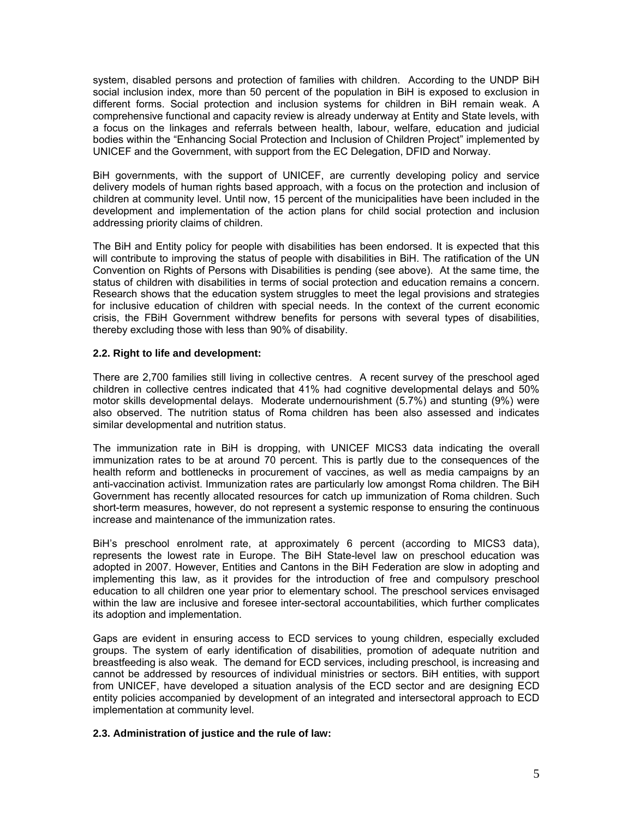system, disabled persons and protection of families with children. According to the UNDP BiH social inclusion index, more than 50 percent of the population in BiH is exposed to exclusion in different forms. Social protection and inclusion systems for children in BiH remain weak. A comprehensive functional and capacity review is already underway at Entity and State levels, with a focus on the linkages and referrals between health, labour, welfare, education and judicial bodies within the "Enhancing Social Protection and Inclusion of Children Project" implemented by UNICEF and the Government, with support from the EC Delegation, DFID and Norway.

BiH governments, with the support of UNICEF, are currently developing policy and service delivery models of human rights based approach, with a focus on the protection and inclusion of children at community level. Until now, 15 percent of the municipalities have been included in the development and implementation of the action plans for child social protection and inclusion addressing priority claims of children.

The BiH and Entity policy for people with disabilities has been endorsed. It is expected that this will contribute to improving the status of people with disabilities in BiH. The ratification of the UN Convention on Rights of Persons with Disabilities is pending (see above). At the same time, the status of children with disabilities in terms of social protection and education remains a concern. Research shows that the education system struggles to meet the legal provisions and strategies for inclusive education of children with special needs. In the context of the current economic crisis, the FBiH Government withdrew benefits for persons with several types of disabilities, thereby excluding those with less than 90% of disability.

## **2.2. Right to life and development:**

There are 2,700 families still living in collective centres. A recent survey of the preschool aged children in collective centres indicated that 41% had cognitive developmental delays and 50% motor skills developmental delays. Moderate undernourishment (5.7%) and stunting (9%) were also observed. The nutrition status of Roma children has been also assessed and indicates similar developmental and nutrition status.

The immunization rate in BiH is dropping, with UNICEF MICS3 data indicating the overall immunization rates to be at around 70 percent. This is partly due to the consequences of the health reform and bottlenecks in procurement of vaccines, as well as media campaigns by an anti-vaccination activist. Immunization rates are particularly low amongst Roma children. The BiH Government has recently allocated resources for catch up immunization of Roma children. Such short-term measures, however, do not represent a systemic response to ensuring the continuous increase and maintenance of the immunization rates.

BiH's preschool enrolment rate, at approximately 6 percent (according to MICS3 data), represents the lowest rate in Europe. The BiH State-level law on preschool education was adopted in 2007. However, Entities and Cantons in the BiH Federation are slow in adopting and implementing this law, as it provides for the introduction of free and compulsory preschool education to all children one year prior to elementary school. The preschool services envisaged within the law are inclusive and foresee inter-sectoral accountabilities, which further complicates its adoption and implementation.

Gaps are evident in ensuring access to ECD services to young children, especially excluded groups. The system of early identification of disabilities, promotion of adequate nutrition and breastfeeding is also weak. The demand for ECD services, including preschool, is increasing and cannot be addressed by resources of individual ministries or sectors. BiH entities, with support from UNICEF, have developed a situation analysis of the ECD sector and are designing ECD entity policies accompanied by development of an integrated and intersectoral approach to ECD implementation at community level.

## **2.3. Administration of justice and the rule of law:**